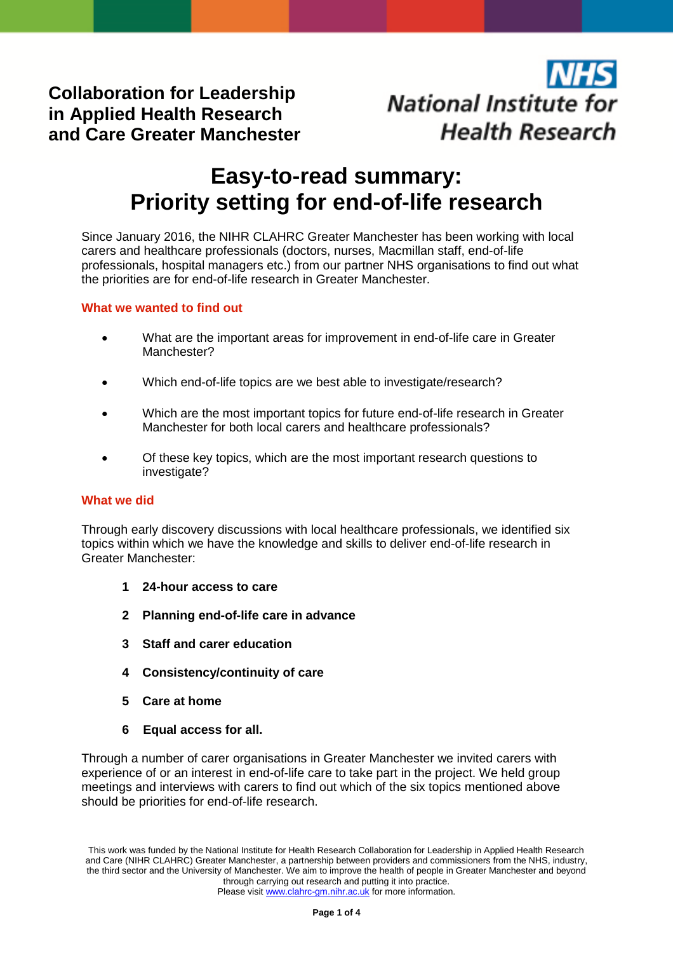**Collaboration for Leadership in Applied Health Research and Care Greater Manchester**

# **National Institute for Health Research**

# **Easy-to-read summary: Priority setting for end-of-life research**

Since January 2016, the NIHR CLAHRC Greater Manchester has been working with local carers and healthcare professionals (doctors, nurses, Macmillan staff, end-of-life professionals, hospital managers etc.) from our partner NHS organisations to find out what the priorities are for end-of-life research in Greater Manchester.

# **What we wanted to find out**

- What are the important areas for improvement in end-of-life care in Greater Manchester?
- Which end-of-life topics are we best able to investigate/research?
- Which are the most important topics for future end-of-life research in Greater Manchester for both local carers and healthcare professionals?
- Of these key topics, which are the most important research questions to investigate?

# **What we did**

Through early discovery discussions with local healthcare professionals, we identified six topics within which we have the knowledge and skills to deliver end-of-life research in Greater Manchester:

- **1 24-hour access to care**
- **2 Planning end-of-life care in advance**
- **3 Staff and carer education**
- **4 Consistency/continuity of care**
- **5 Care at home**
- **6 Equal access for all.**

Through a number of carer organisations in Greater Manchester we invited carers with experience of or an interest in end-of-life care to take part in the project. We held group meetings and interviews with carers to find out which of the six topics mentioned above should be priorities for end-of-life research.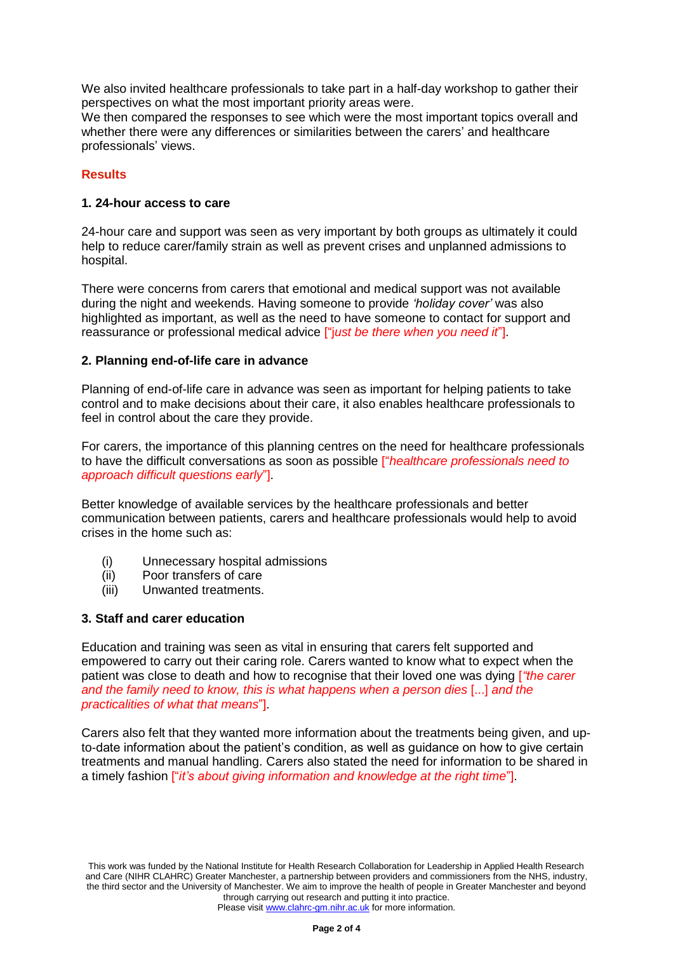We also invited healthcare professionals to take part in a half-day workshop to gather their perspectives on what the most important priority areas were.

We then compared the responses to see which were the most important topics overall and whether there were any differences or similarities between the carers' and healthcare professionals' views.

#### **Results**

#### **1. 24-hour access to care**

24-hour care and support was seen as very important by both groups as ultimately it could help to reduce carer/family strain as well as prevent crises and unplanned admissions to hospital.

There were concerns from carers that emotional and medical support was not available during the night and weekends. Having someone to provide *'holiday cover'* was also highlighted as important, as well as the need to have someone to contact for support and reassurance or professional medical advice ["j*ust be there when you need it*"].

#### **2. Planning end-of-life care in advance**

Planning of end-of-life care in advance was seen as important for helping patients to take control and to make decisions about their care, it also enables healthcare professionals to feel in control about the care they provide.

For carers, the importance of this planning centres on the need for healthcare professionals to have the difficult conversations as soon as possible ["*healthcare professionals need to approach difficult questions early*"].

Better knowledge of available services by the healthcare professionals and better communication between patients, carers and healthcare professionals would help to avoid crises in the home such as:

- (i) Unnecessary hospital admissions
- (ii) Poor transfers of care
- (iii) Unwanted treatments.

#### **3. Staff and carer education**

Education and training was seen as vital in ensuring that carers felt supported and empowered to carry out their caring role. Carers wanted to know what to expect when the patient was close to death and how to recognise that their loved one was dying [*"the carer and the family need to know, this is what happens when a person dies* [...] *and the practicalities of what that means*"].

Carers also felt that they wanted more information about the treatments being given, and upto-date information about the patient's condition, as well as guidance on how to give certain treatments and manual handling. Carers also stated the need for information to be shared in a timely fashion ["*it's about giving information and knowledge at the right time*"].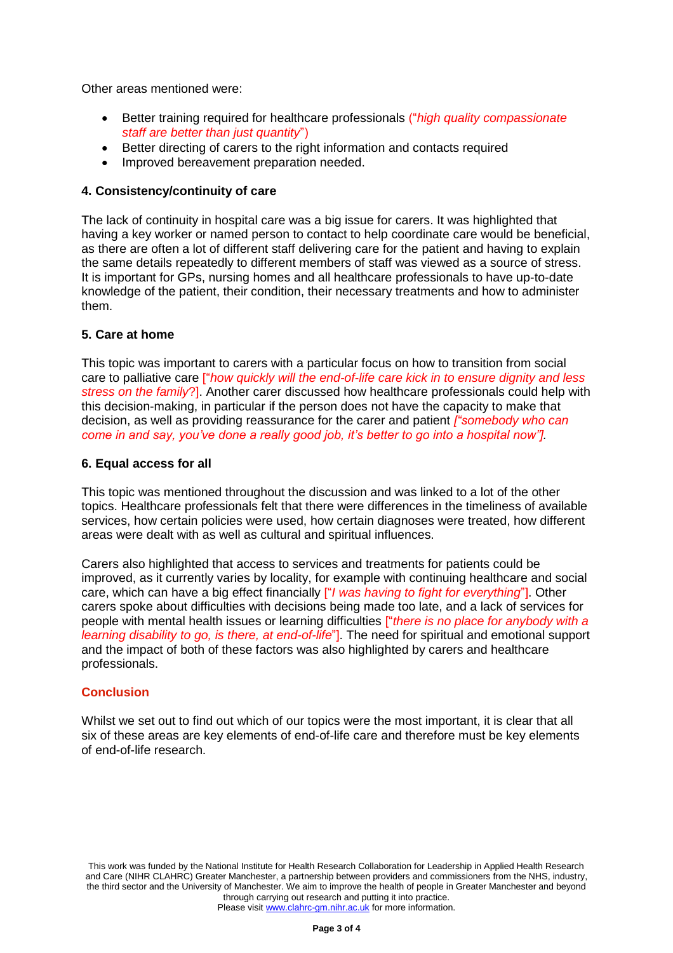Other areas mentioned were:

- Better training required for healthcare professionals ("*high quality compassionate staff are better than just quantity*")
- Better directing of carers to the right information and contacts required
- Improved bereavement preparation needed.

#### **4. Consistency/continuity of care**

The lack of continuity in hospital care was a big issue for carers. It was highlighted that having a key worker or named person to contact to help coordinate care would be beneficial, as there are often a lot of different staff delivering care for the patient and having to explain the same details repeatedly to different members of staff was viewed as a source of stress. It is important for GPs, nursing homes and all healthcare professionals to have up-to-date knowledge of the patient, their condition, their necessary treatments and how to administer them.

#### **5. Care at home**

This topic was important to carers with a particular focus on how to transition from social care to palliative care ["*how quickly will the end-of-life care kick in to ensure dignity and less stress on the family*?]. Another carer discussed how healthcare professionals could help with this decision-making, in particular if the person does not have the capacity to make that decision, as well as providing reassurance for the carer and patient *["somebody who can come in and say, you've done a really good job, it's better to go into a hospital now"].*

#### **6. Equal access for all**

This topic was mentioned throughout the discussion and was linked to a lot of the other topics. Healthcare professionals felt that there were differences in the timeliness of available services, how certain policies were used, how certain diagnoses were treated, how different areas were dealt with as well as cultural and spiritual influences.

Carers also highlighted that access to services and treatments for patients could be improved, as it currently varies by locality, for example with continuing healthcare and social care, which can have a big effect financially ["*I was having to fight for everything*"]. Other carers spoke about difficulties with decisions being made too late, and a lack of services for people with mental health issues or learning difficulties ["*there is no place for anybody with a learning disability to go, is there, at end-of-life*"]. The need for spiritual and emotional support and the impact of both of these factors was also highlighted by carers and healthcare professionals.

# **Conclusion**

Whilst we set out to find out which of our topics were the most important, it is clear that all six of these areas are key elements of end-of-life care and therefore must be key elements of end-of-life research.